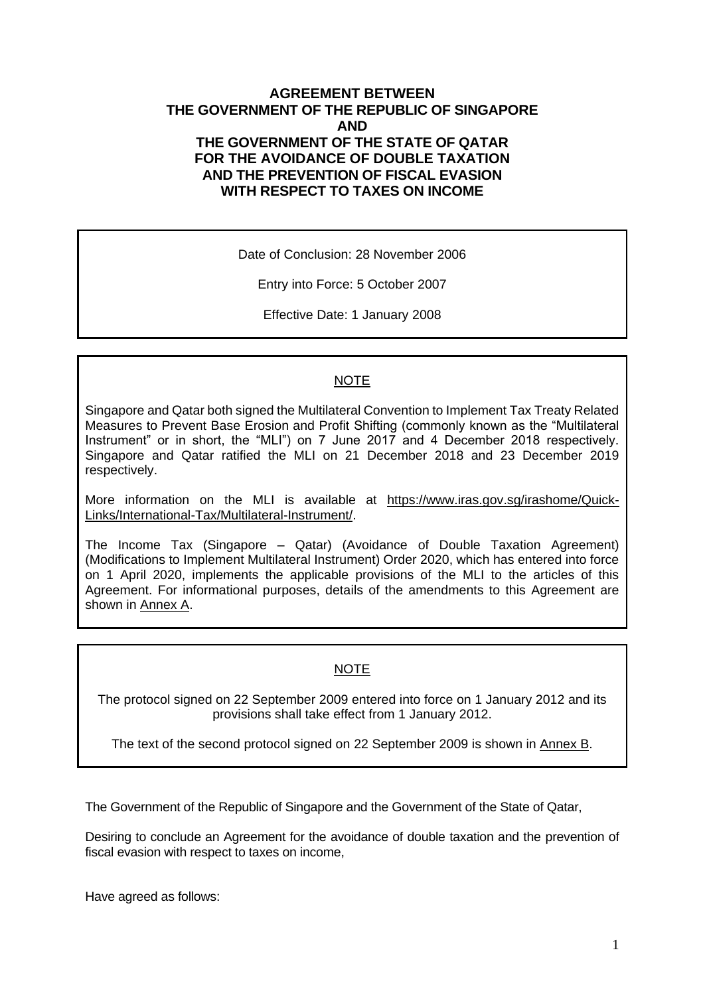## **AGREEMENT BETWEEN THE GOVERNMENT OF THE REPUBLIC OF SINGAPORE AND THE GOVERNMENT OF THE STATE OF QATAR FOR THE AVOIDANCE OF DOUBLE TAXATION AND THE PREVENTION OF FISCAL EVASION WITH RESPECT TO TAXES ON INCOME**

Date of Conclusion: 28 November 2006

Entry into Force: 5 October 2007

Effective Date: 1 January 2008

#### NOTE

Singapore and Qatar both signed the Multilateral Convention to Implement Tax Treaty Related Measures to Prevent Base Erosion and Profit Shifting (commonly known as the "Multilateral Instrument" or in short, the "MLI") on 7 June 2017 and 4 December 2018 respectively. Singapore and Qatar ratified the MLI on 21 December 2018 and 23 December 2019 respectively.

More information on the MLI is available at [https://www.iras.gov.sg/irashome/Quick-](https://www.iras.gov.sg/irashome/Quick-Links/International-Tax/Multilateral-Instrument/)[Links/International-Tax/Multilateral-Instrument/.](https://www.iras.gov.sg/irashome/Quick-Links/International-Tax/Multilateral-Instrument/)

The Income Tax (Singapore – Qatar) (Avoidance of Double Taxation Agreement) (Modifications to Implement Multilateral Instrument) Order 2020, which has entered into force on 1 April 2020, implements the applicable provisions of the MLI to the articles of this Agreement. For informational purposes, details of the amendments to this Agreement are shown in Annex A.

#### NOTE

The protocol signed on 22 September 2009 entered into force on 1 January 2012 and its provisions shall take effect from 1 January 2012.

The text of the second protocol signed on 22 September 2009 is shown in Annex B.

The Government of the Republic of Singapore and the Government of the State of Qatar,

Desiring to conclude an Agreement for the avoidance of double taxation and the prevention of fiscal evasion with respect to taxes on income,

Have agreed as follows: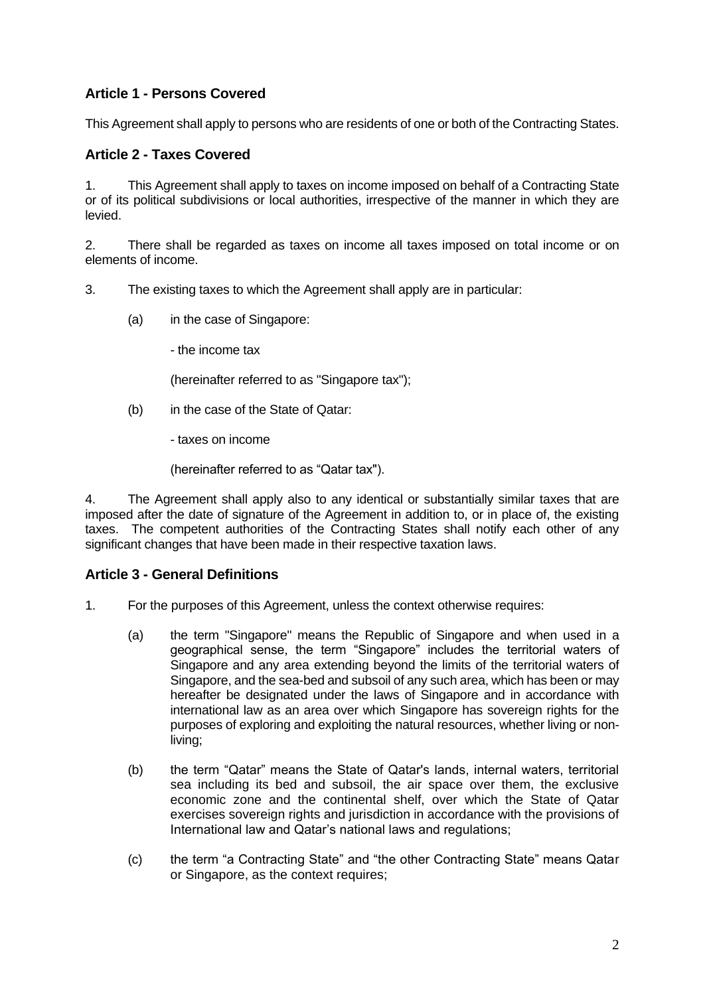# **Article 1 - Persons Covered**

This Agreement shall apply to persons who are residents of one or both of the Contracting States.

## **Article 2 - Taxes Covered**

1. This Agreement shall apply to taxes on income imposed on behalf of a Contracting State or of its political subdivisions or local authorities, irrespective of the manner in which they are levied.

2. There shall be regarded as taxes on income all taxes imposed on total income or on elements of income.

- 3. The existing taxes to which the Agreement shall apply are in particular:
	- (a) in the case of Singapore:
		- the income tax

(hereinafter referred to as "Singapore tax");

- (b) in the case of the State of Qatar:
	- taxes on income

(hereinafter referred to as "Qatar tax").

4. The Agreement shall apply also to any identical or substantially similar taxes that are imposed after the date of signature of the Agreement in addition to, or in place of, the existing taxes. The competent authorities of the Contracting States shall notify each other of any significant changes that have been made in their respective taxation laws.

## **Article 3 - General Definitions**

- 1. For the purposes of this Agreement, unless the context otherwise requires:
	- (a) the term "Singapore" means the Republic of Singapore and when used in a geographical sense, the term "Singapore" includes the territorial waters of Singapore and any area extending beyond the limits of the territorial waters of Singapore, and the sea-bed and subsoil of any such area, which has been or may hereafter be designated under the laws of Singapore and in accordance with international law as an area over which Singapore has sovereign rights for the purposes of exploring and exploiting the natural resources, whether living or nonliving;
	- (b) the term "Qatar" means the State of Qatar's lands, internal waters, territorial sea including its bed and subsoil, the air space over them, the exclusive economic zone and the continental shelf, over which the State of Qatar exercises sovereign rights and jurisdiction in accordance with the provisions of International law and Qatar's national laws and regulations;
	- (c) the term "a Contracting State" and "the other Contracting State" means Qatar or Singapore, as the context requires;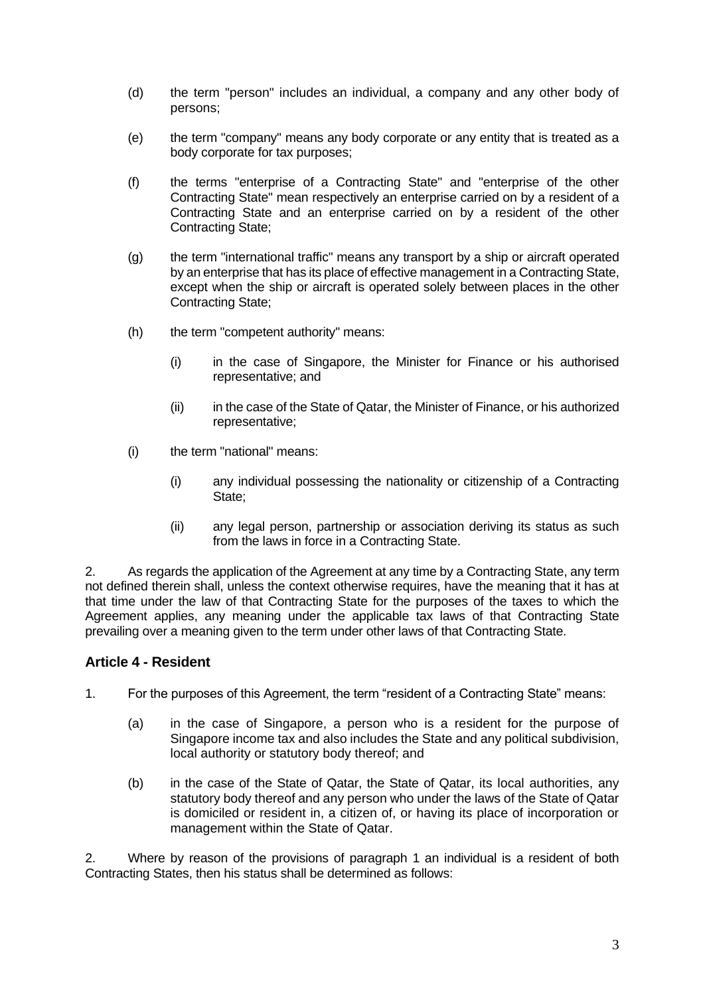- (d) the term "person" includes an individual, a company and any other body of persons;
- (e) the term "company" means any body corporate or any entity that is treated as a body corporate for tax purposes;
- (f) the terms "enterprise of a Contracting State" and "enterprise of the other Contracting State" mean respectively an enterprise carried on by a resident of a Contracting State and an enterprise carried on by a resident of the other Contracting State;
- (g) the term "international traffic" means any transport by a ship or aircraft operated by an enterprise that has its place of effective management in a Contracting State, except when the ship or aircraft is operated solely between places in the other Contracting State;
- (h) the term "competent authority" means:
	- (i) in the case of Singapore, the Minister for Finance or his authorised representative; and
	- (ii) in the case of the State of Qatar, the Minister of Finance, or his authorized representative;
- (i) the term "national" means:
	- (i) any individual possessing the nationality or citizenship of a Contracting State;
	- (ii) any legal person, partnership or association deriving its status as such from the laws in force in a Contracting State.

2. As regards the application of the Agreement at any time by a Contracting State, any term not defined therein shall, unless the context otherwise requires, have the meaning that it has at that time under the law of that Contracting State for the purposes of the taxes to which the Agreement applies, any meaning under the applicable tax laws of that Contracting State prevailing over a meaning given to the term under other laws of that Contracting State.

#### **Article 4 - Resident**

- 1. For the purposes of this Agreement, the term "resident of a Contracting State" means:
	- (a) in the case of Singapore, a person who is a resident for the purpose of Singapore income tax and also includes the State and any political subdivision, local authority or statutory body thereof; and
	- (b) in the case of the State of Qatar, the State of Qatar, its local authorities, any statutory body thereof and any person who under the laws of the State of Qatar is domiciled or resident in, a citizen of, or having its place of incorporation or management within the State of Qatar.

2. Where by reason of the provisions of paragraph 1 an individual is a resident of both Contracting States, then his status shall be determined as follows: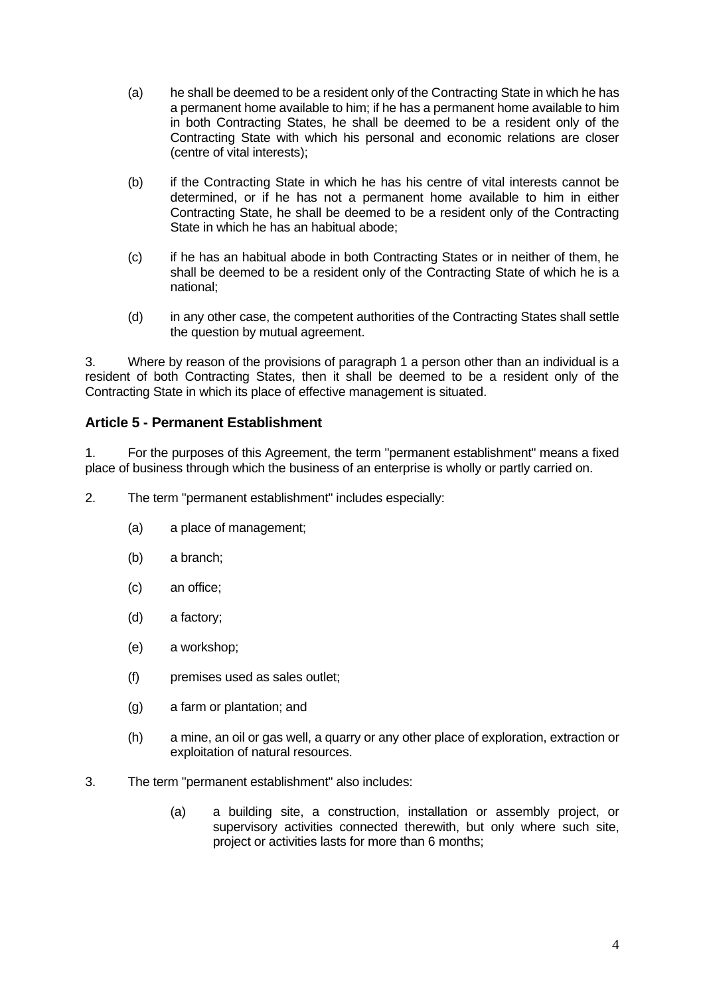- (a) he shall be deemed to be a resident only of the Contracting State in which he has a permanent home available to him; if he has a permanent home available to him in both Contracting States, he shall be deemed to be a resident only of the Contracting State with which his personal and economic relations are closer (centre of vital interests);
- (b) if the Contracting State in which he has his centre of vital interests cannot be determined, or if he has not a permanent home available to him in either Contracting State, he shall be deemed to be a resident only of the Contracting State in which he has an habitual abode;
- (c) if he has an habitual abode in both Contracting States or in neither of them, he shall be deemed to be a resident only of the Contracting State of which he is a national;
- (d) in any other case, the competent authorities of the Contracting States shall settle the question by mutual agreement.

3. Where by reason of the provisions of paragraph 1 a person other than an individual is a resident of both Contracting States, then it shall be deemed to be a resident only of the Contracting State in which its place of effective management is situated.

## **Article 5 - Permanent Establishment**

1. For the purposes of this Agreement, the term "permanent establishment" means a fixed place of business through which the business of an enterprise is wholly or partly carried on.

- 2. The term "permanent establishment" includes especially:
	- (a) a place of management;
	- (b) a branch;
	- (c) an office;
	- (d) a factory;
	- (e) a workshop;
	- (f) premises used as sales outlet;
	- (g) a farm or plantation; and
	- (h) a mine, an oil or gas well, a quarry or any other place of exploration, extraction or exploitation of natural resources.
- 3. The term "permanent establishment" also includes:
	- (a) a building site, a construction, installation or assembly project, or supervisory activities connected therewith, but only where such site, project or activities lasts for more than 6 months;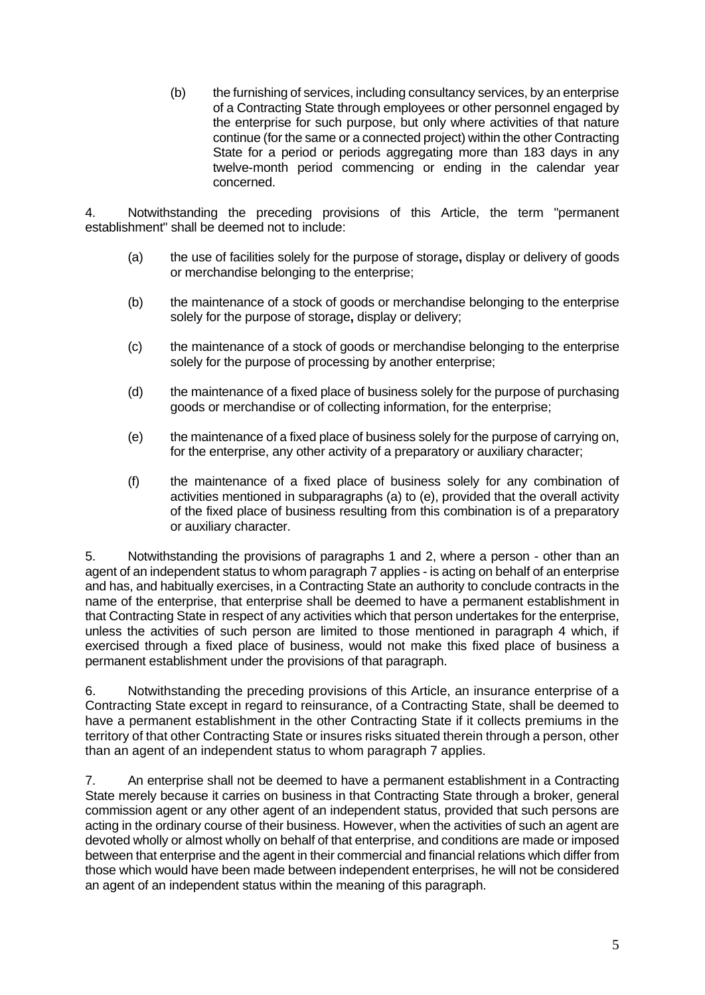(b) the furnishing of services, including consultancy services, by an enterprise of a Contracting State through employees or other personnel engaged by the enterprise for such purpose, but only where activities of that nature continue (for the same or a connected project) within the other Contracting State for a period or periods aggregating more than 183 days in any twelve-month period commencing or ending in the calendar year concerned.

4. Notwithstanding the preceding provisions of this Article, the term "permanent establishment" shall be deemed not to include:

- (a) the use of facilities solely for the purpose of storage**,** display or delivery of goods or merchandise belonging to the enterprise;
- (b) the maintenance of a stock of goods or merchandise belonging to the enterprise solely for the purpose of storage**,** display or delivery;
- (c) the maintenance of a stock of goods or merchandise belonging to the enterprise solely for the purpose of processing by another enterprise;
- (d) the maintenance of a fixed place of business solely for the purpose of purchasing goods or merchandise or of collecting information, for the enterprise;
- (e) the maintenance of a fixed place of business solely for the purpose of carrying on, for the enterprise, any other activity of a preparatory or auxiliary character;
- (f) the maintenance of a fixed place of business solely for any combination of activities mentioned in subparagraphs (a) to (e), provided that the overall activity of the fixed place of business resulting from this combination is of a preparatory or auxiliary character.

5. Notwithstanding the provisions of paragraphs 1 and 2, where a person - other than an agent of an independent status to whom paragraph 7 applies - is acting on behalf of an enterprise and has, and habitually exercises, in a Contracting State an authority to conclude contracts in the name of the enterprise, that enterprise shall be deemed to have a permanent establishment in that Contracting State in respect of any activities which that person undertakes for the enterprise, unless the activities of such person are limited to those mentioned in paragraph 4 which, if exercised through a fixed place of business, would not make this fixed place of business a permanent establishment under the provisions of that paragraph.

6. Notwithstanding the preceding provisions of this Article, an insurance enterprise of a Contracting State except in regard to reinsurance, of a Contracting State, shall be deemed to have a permanent establishment in the other Contracting State if it collects premiums in the territory of that other Contracting State or insures risks situated therein through a person, other than an agent of an independent status to whom paragraph 7 applies.

7. An enterprise shall not be deemed to have a permanent establishment in a Contracting State merely because it carries on business in that Contracting State through a broker, general commission agent or any other agent of an independent status, provided that such persons are acting in the ordinary course of their business. However, when the activities of such an agent are devoted wholly or almost wholly on behalf of that enterprise, and conditions are made or imposed between that enterprise and the agent in their commercial and financial relations which differ from those which would have been made between independent enterprises, he will not be considered an agent of an independent status within the meaning of this paragraph.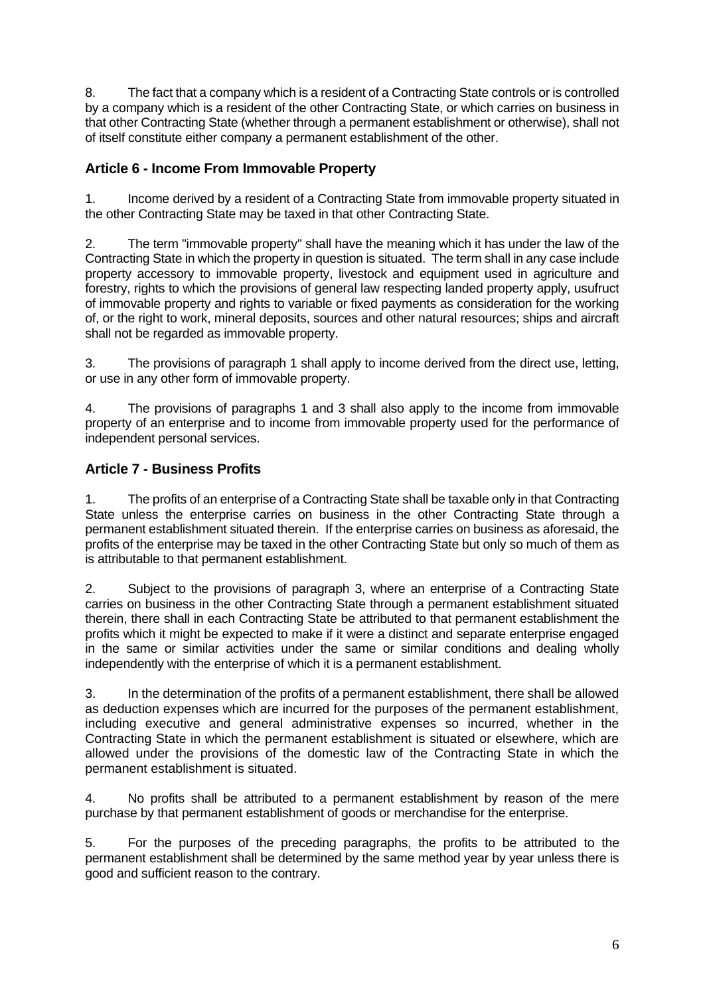8. The fact that a company which is a resident of a Contracting State controls or is controlled by a company which is a resident of the other Contracting State, or which carries on business in that other Contracting State (whether through a permanent establishment or otherwise), shall not of itself constitute either company a permanent establishment of the other.

## **Article 6 - Income From Immovable Property**

1. Income derived by a resident of a Contracting State from immovable property situated in the other Contracting State may be taxed in that other Contracting State.

2. The term "immovable property" shall have the meaning which it has under the law of the Contracting State in which the property in question is situated. The term shall in any case include property accessory to immovable property, livestock and equipment used in agriculture and forestry, rights to which the provisions of general law respecting landed property apply, usufruct of immovable property and rights to variable or fixed payments as consideration for the working of, or the right to work, mineral deposits, sources and other natural resources; ships and aircraft shall not be regarded as immovable property.

3. The provisions of paragraph 1 shall apply to income derived from the direct use, letting, or use in any other form of immovable property.

4. The provisions of paragraphs 1 and 3 shall also apply to the income from immovable property of an enterprise and to income from immovable property used for the performance of independent personal services.

# **Article 7 - Business Profits**

1. The profits of an enterprise of a Contracting State shall be taxable only in that Contracting State unless the enterprise carries on business in the other Contracting State through a permanent establishment situated therein. If the enterprise carries on business as aforesaid, the profits of the enterprise may be taxed in the other Contracting State but only so much of them as is attributable to that permanent establishment.

2. Subject to the provisions of paragraph 3, where an enterprise of a Contracting State carries on business in the other Contracting State through a permanent establishment situated therein, there shall in each Contracting State be attributed to that permanent establishment the profits which it might be expected to make if it were a distinct and separate enterprise engaged in the same or similar activities under the same or similar conditions and dealing wholly independently with the enterprise of which it is a permanent establishment.

3. In the determination of the profits of a permanent establishment, there shall be allowed as deduction expenses which are incurred for the purposes of the permanent establishment, including executive and general administrative expenses so incurred, whether in the Contracting State in which the permanent establishment is situated or elsewhere, which are allowed under the provisions of the domestic law of the Contracting State in which the permanent establishment is situated.

4. No profits shall be attributed to a permanent establishment by reason of the mere purchase by that permanent establishment of goods or merchandise for the enterprise.

5. For the purposes of the preceding paragraphs, the profits to be attributed to the permanent establishment shall be determined by the same method year by year unless there is good and sufficient reason to the contrary.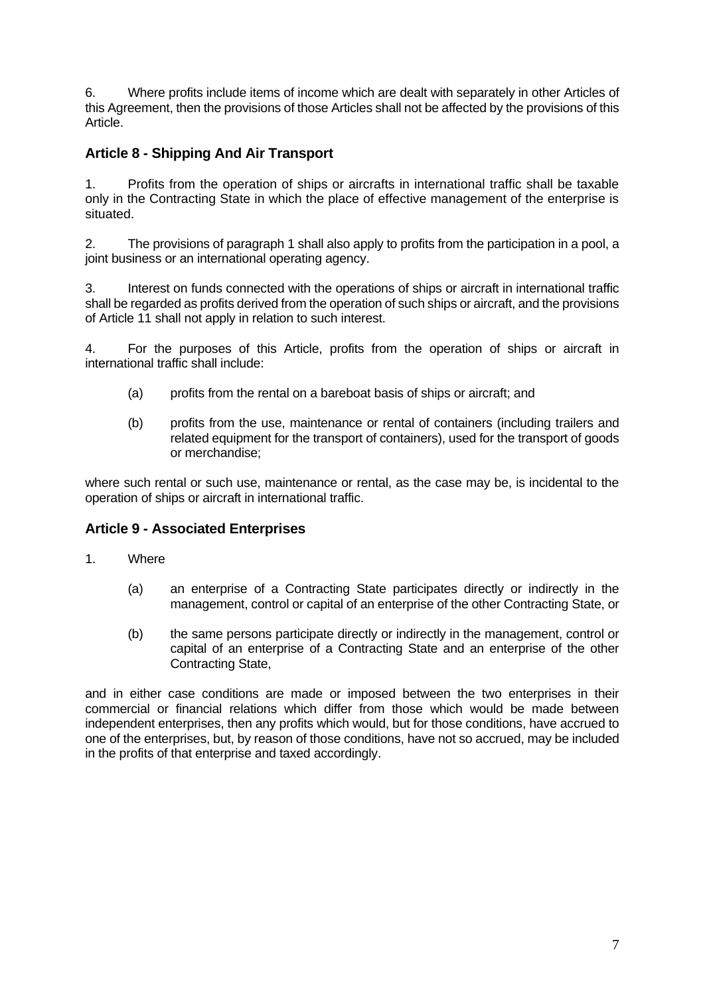6. Where profits include items of income which are dealt with separately in other Articles of this Agreement, then the provisions of those Articles shall not be affected by the provisions of this Article.

# **Article 8 - Shipping And Air Transport**

1. Profits from the operation of ships or aircrafts in international traffic shall be taxable only in the Contracting State in which the place of effective management of the enterprise is situated.

2. The provisions of paragraph 1 shall also apply to profits from the participation in a pool, a joint business or an international operating agency.

3. Interest on funds connected with the operations of ships or aircraft in international traffic shall be regarded as profits derived from the operation of such ships or aircraft, and the provisions of Article 11 shall not apply in relation to such interest.

4. For the purposes of this Article, profits from the operation of ships or aircraft in international traffic shall include:

- (a) profits from the rental on a bareboat basis of ships or aircraft; and
- (b) profits from the use, maintenance or rental of containers (including trailers and related equipment for the transport of containers), used for the transport of goods or merchandise;

where such rental or such use, maintenance or rental, as the case may be, is incidental to the operation of ships or aircraft in international traffic.

# **Article 9 - Associated Enterprises**

- 1. Where
	- (a) an enterprise of a Contracting State participates directly or indirectly in the management, control or capital of an enterprise of the other Contracting State, or
	- (b) the same persons participate directly or indirectly in the management, control or capital of an enterprise of a Contracting State and an enterprise of the other Contracting State,

and in either case conditions are made or imposed between the two enterprises in their commercial or financial relations which differ from those which would be made between independent enterprises, then any profits which would, but for those conditions, have accrued to one of the enterprises, but, by reason of those conditions, have not so accrued, may be included in the profits of that enterprise and taxed accordingly.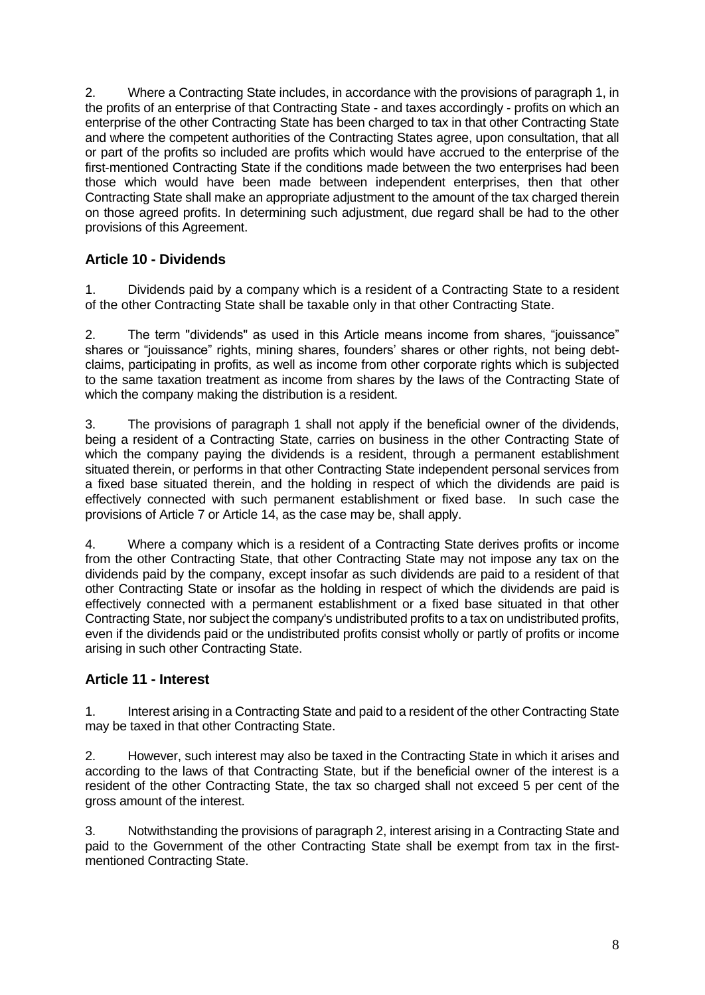2. Where a Contracting State includes, in accordance with the provisions of paragraph 1, in the profits of an enterprise of that Contracting State - and taxes accordingly - profits on which an enterprise of the other Contracting State has been charged to tax in that other Contracting State and where the competent authorities of the Contracting States agree, upon consultation, that all or part of the profits so included are profits which would have accrued to the enterprise of the first-mentioned Contracting State if the conditions made between the two enterprises had been those which would have been made between independent enterprises, then that other Contracting State shall make an appropriate adjustment to the amount of the tax charged therein on those agreed profits. In determining such adjustment, due regard shall be had to the other provisions of this Agreement.

# **Article 10 - Dividends**

1. Dividends paid by a company which is a resident of a Contracting State to a resident of the other Contracting State shall be taxable only in that other Contracting State.

2. The term "dividends" as used in this Article means income from shares, "jouissance" shares or "jouissance" rights, mining shares, founders' shares or other rights, not being debtclaims, participating in profits, as well as income from other corporate rights which is subjected to the same taxation treatment as income from shares by the laws of the Contracting State of which the company making the distribution is a resident.

3. The provisions of paragraph 1 shall not apply if the beneficial owner of the dividends, being a resident of a Contracting State, carries on business in the other Contracting State of which the company paying the dividends is a resident, through a permanent establishment situated therein, or performs in that other Contracting State independent personal services from a fixed base situated therein, and the holding in respect of which the dividends are paid is effectively connected with such permanent establishment or fixed base. In such case the provisions of Article 7 or Article 14, as the case may be, shall apply.

4. Where a company which is a resident of a Contracting State derives profits or income from the other Contracting State, that other Contracting State may not impose any tax on the dividends paid by the company, except insofar as such dividends are paid to a resident of that other Contracting State or insofar as the holding in respect of which the dividends are paid is effectively connected with a permanent establishment or a fixed base situated in that other Contracting State, nor subject the company's undistributed profits to a tax on undistributed profits, even if the dividends paid or the undistributed profits consist wholly or partly of profits or income arising in such other Contracting State.

# **Article 11 - Interest**

1. Interest arising in a Contracting State and paid to a resident of the other Contracting State may be taxed in that other Contracting State.

2. However, such interest may also be taxed in the Contracting State in which it arises and according to the laws of that Contracting State, but if the beneficial owner of the interest is a resident of the other Contracting State, the tax so charged shall not exceed 5 per cent of the gross amount of the interest.

3. Notwithstanding the provisions of paragraph 2, interest arising in a Contracting State and paid to the Government of the other Contracting State shall be exempt from tax in the firstmentioned Contracting State.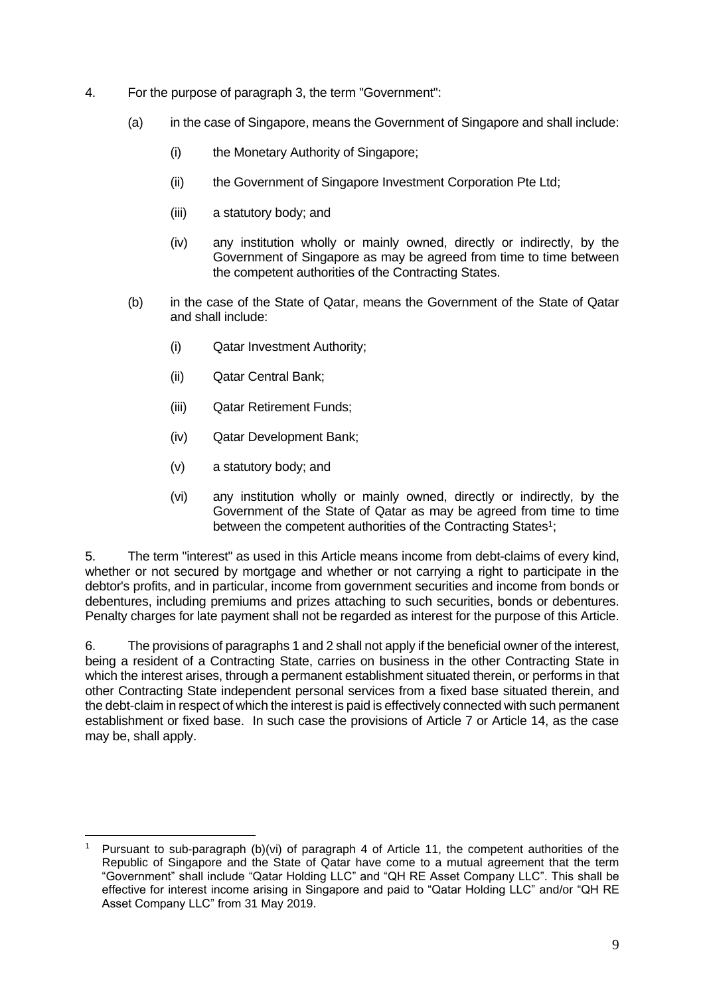- 4. For the purpose of paragraph 3, the term "Government":
	- (a) in the case of Singapore, means the Government of Singapore and shall include:
		- (i) the Monetary Authority of Singapore;
		- (ii) the Government of Singapore Investment Corporation Pte Ltd;
		- (iii) a statutory body; and
		- (iv) any institution wholly or mainly owned, directly or indirectly, by the Government of Singapore as may be agreed from time to time between the competent authorities of the Contracting States.
	- (b) in the case of the State of Qatar, means the Government of the State of Qatar and shall include:
		- (i) Qatar Investment Authority;
		- (ii) Qatar Central Bank;
		- (iii) Qatar Retirement Funds;
		- (iv) Qatar Development Bank;
		- (v) a statutory body; and
		- (vi) any institution wholly or mainly owned, directly or indirectly, by the Government of the State of Qatar as may be agreed from time to time between the competent authorities of the Contracting States<sup>1</sup>;

5. The term "interest" as used in this Article means income from debt-claims of every kind, whether or not secured by mortgage and whether or not carrying a right to participate in the debtor's profits, and in particular, income from government securities and income from bonds or debentures, including premiums and prizes attaching to such securities, bonds or debentures. Penalty charges for late payment shall not be regarded as interest for the purpose of this Article.

6. The provisions of paragraphs 1 and 2 shall not apply if the beneficial owner of the interest, being a resident of a Contracting State, carries on business in the other Contracting State in which the interest arises, through a permanent establishment situated therein, or performs in that other Contracting State independent personal services from a fixed base situated therein, and the debt-claim in respect of which the interest is paid is effectively connected with such permanent establishment or fixed base. In such case the provisions of Article 7 or Article 14, as the case may be, shall apply.

Pursuant to sub-paragraph (b)(vi) of paragraph 4 of Article 11, the competent authorities of the Republic of Singapore and the State of Qatar have come to a mutual agreement that the term "Government" shall include "Qatar Holding LLC" and "QH RE Asset Company LLC". This shall be effective for interest income arising in Singapore and paid to "Qatar Holding LLC" and/or "QH RE Asset Company LLC" from 31 May 2019.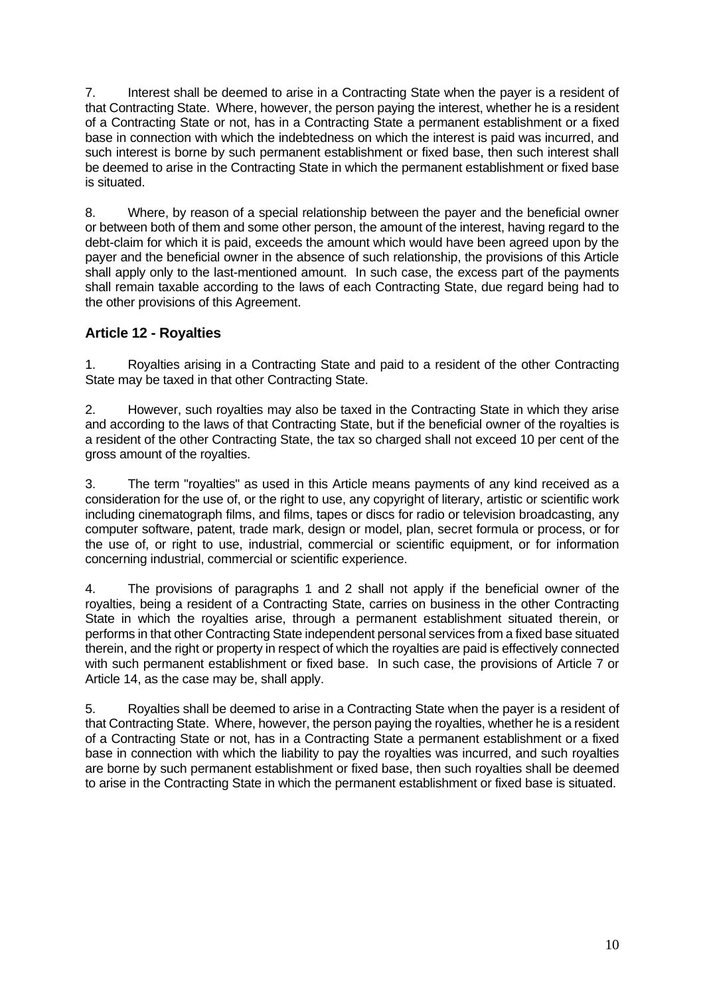7. Interest shall be deemed to arise in a Contracting State when the payer is a resident of that Contracting State. Where, however, the person paying the interest, whether he is a resident of a Contracting State or not, has in a Contracting State a permanent establishment or a fixed base in connection with which the indebtedness on which the interest is paid was incurred, and such interest is borne by such permanent establishment or fixed base, then such interest shall be deemed to arise in the Contracting State in which the permanent establishment or fixed base is situated.

8. Where, by reason of a special relationship between the payer and the beneficial owner or between both of them and some other person, the amount of the interest, having regard to the debt-claim for which it is paid, exceeds the amount which would have been agreed upon by the payer and the beneficial owner in the absence of such relationship, the provisions of this Article shall apply only to the last-mentioned amount. In such case, the excess part of the payments shall remain taxable according to the laws of each Contracting State, due regard being had to the other provisions of this Agreement.

# **Article 12 - Royalties**

1. Royalties arising in a Contracting State and paid to a resident of the other Contracting State may be taxed in that other Contracting State.

2. However, such royalties may also be taxed in the Contracting State in which they arise and according to the laws of that Contracting State, but if the beneficial owner of the royalties is a resident of the other Contracting State, the tax so charged shall not exceed 10 per cent of the gross amount of the royalties.

3. The term "royalties" as used in this Article means payments of any kind received as a consideration for the use of, or the right to use, any copyright of literary, artistic or scientific work including cinematograph films, and films, tapes or discs for radio or television broadcasting, any computer software, patent, trade mark, design or model, plan, secret formula or process, or for the use of, or right to use, industrial, commercial or scientific equipment, or for information concerning industrial, commercial or scientific experience.

4. The provisions of paragraphs 1 and 2 shall not apply if the beneficial owner of the royalties, being a resident of a Contracting State, carries on business in the other Contracting State in which the royalties arise, through a permanent establishment situated therein, or performs in that other Contracting State independent personal services from a fixed base situated therein, and the right or property in respect of which the royalties are paid is effectively connected with such permanent establishment or fixed base. In such case, the provisions of Article 7 or Article 14, as the case may be, shall apply.

5. Royalties shall be deemed to arise in a Contracting State when the payer is a resident of that Contracting State. Where, however, the person paying the royalties, whether he is a resident of a Contracting State or not, has in a Contracting State a permanent establishment or a fixed base in connection with which the liability to pay the royalties was incurred, and such royalties are borne by such permanent establishment or fixed base, then such royalties shall be deemed to arise in the Contracting State in which the permanent establishment or fixed base is situated.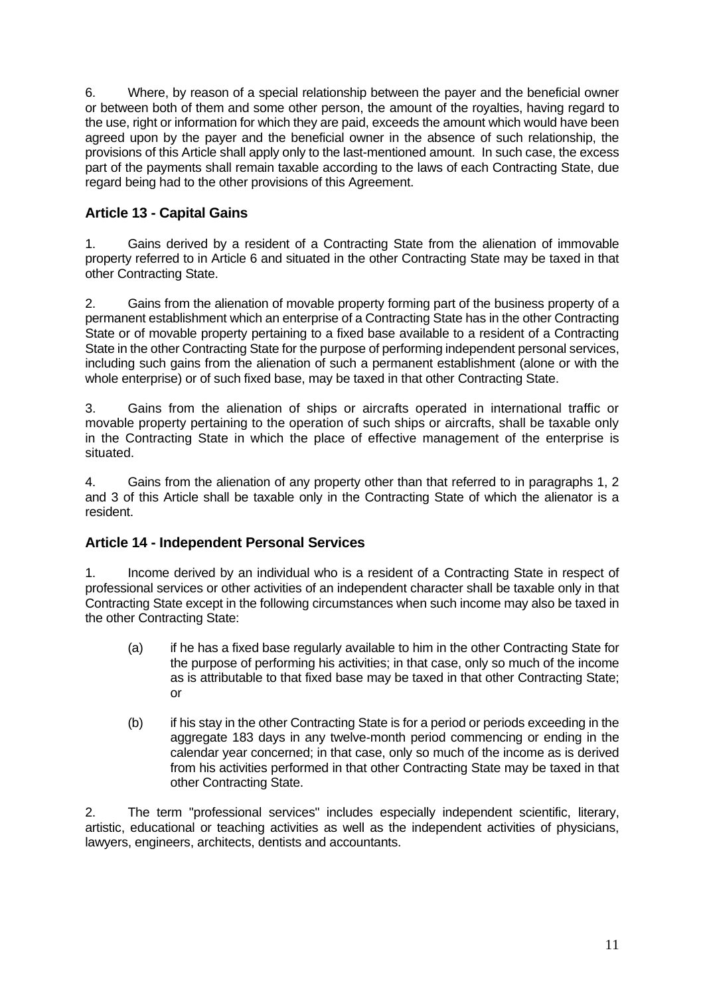6. Where, by reason of a special relationship between the payer and the beneficial owner or between both of them and some other person, the amount of the royalties, having regard to the use, right or information for which they are paid, exceeds the amount which would have been agreed upon by the payer and the beneficial owner in the absence of such relationship, the provisions of this Article shall apply only to the last-mentioned amount. In such case, the excess part of the payments shall remain taxable according to the laws of each Contracting State, due regard being had to the other provisions of this Agreement.

## **Article 13 - Capital Gains**

1. Gains derived by a resident of a Contracting State from the alienation of immovable property referred to in Article 6 and situated in the other Contracting State may be taxed in that other Contracting State.

2. Gains from the alienation of movable property forming part of the business property of a permanent establishment which an enterprise of a Contracting State has in the other Contracting State or of movable property pertaining to a fixed base available to a resident of a Contracting State in the other Contracting State for the purpose of performing independent personal services, including such gains from the alienation of such a permanent establishment (alone or with the whole enterprise) or of such fixed base, may be taxed in that other Contracting State.

3. Gains from the alienation of ships or aircrafts operated in international traffic or movable property pertaining to the operation of such ships or aircrafts, shall be taxable only in the Contracting State in which the place of effective management of the enterprise is situated.

4. Gains from the alienation of any property other than that referred to in paragraphs 1, 2 and 3 of this Article shall be taxable only in the Contracting State of which the alienator is a resident.

## **Article 14 - Independent Personal Services**

1. Income derived by an individual who is a resident of a Contracting State in respect of professional services or other activities of an independent character shall be taxable only in that Contracting State except in the following circumstances when such income may also be taxed in the other Contracting State:

- (a) if he has a fixed base regularly available to him in the other Contracting State for the purpose of performing his activities; in that case, only so much of the income as is attributable to that fixed base may be taxed in that other Contracting State; or
- (b) if his stay in the other Contracting State is for a period or periods exceeding in the aggregate 183 days in any twelve-month period commencing or ending in the calendar year concerned; in that case, only so much of the income as is derived from his activities performed in that other Contracting State may be taxed in that other Contracting State.

2. The term "professional services" includes especially independent scientific, literary, artistic, educational or teaching activities as well as the independent activities of physicians, lawyers, engineers, architects, dentists and accountants.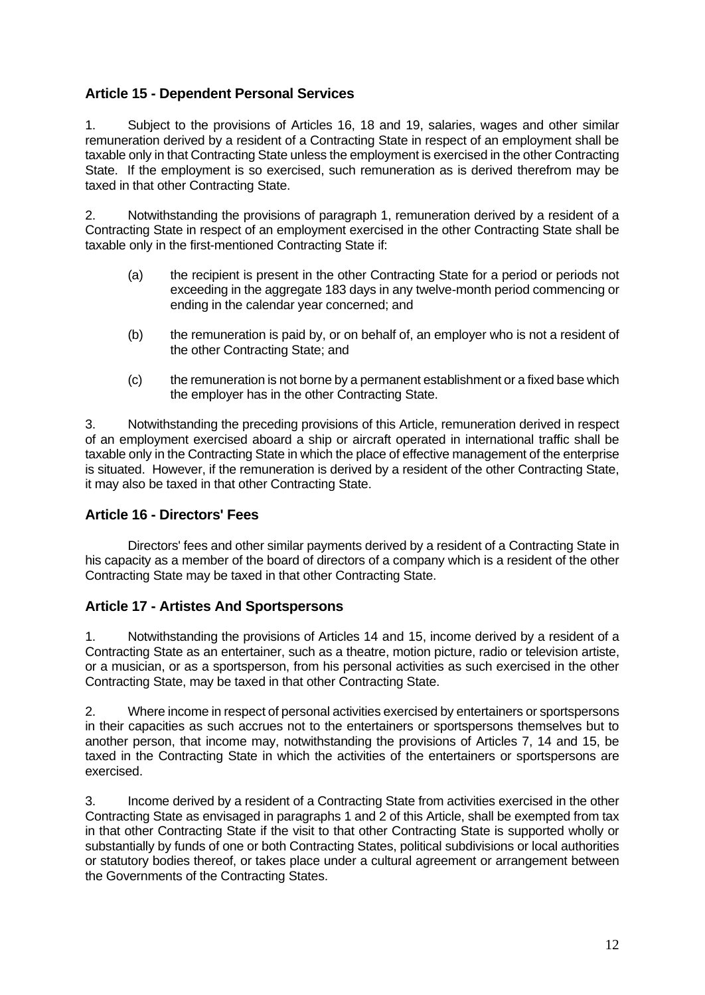# **Article 15 - Dependent Personal Services**

1. Subject to the provisions of Articles 16, 18 and 19, salaries, wages and other similar remuneration derived by a resident of a Contracting State in respect of an employment shall be taxable only in that Contracting State unless the employment is exercised in the other Contracting State. If the employment is so exercised, such remuneration as is derived therefrom may be taxed in that other Contracting State.

2. Notwithstanding the provisions of paragraph 1, remuneration derived by a resident of a Contracting State in respect of an employment exercised in the other Contracting State shall be taxable only in the first-mentioned Contracting State if:

- (a) the recipient is present in the other Contracting State for a period or periods not exceeding in the aggregate 183 days in any twelve-month period commencing or ending in the calendar year concerned; and
- (b) the remuneration is paid by, or on behalf of, an employer who is not a resident of the other Contracting State; and
- (c) the remuneration is not borne by a permanent establishment or a fixed base which the employer has in the other Contracting State.

3. Notwithstanding the preceding provisions of this Article, remuneration derived in respect of an employment exercised aboard a ship or aircraft operated in international traffic shall be taxable only in the Contracting State in which the place of effective management of the enterprise is situated. However, if the remuneration is derived by a resident of the other Contracting State, it may also be taxed in that other Contracting State.

## **Article 16 - Directors' Fees**

Directors' fees and other similar payments derived by a resident of a Contracting State in his capacity as a member of the board of directors of a company which is a resident of the other Contracting State may be taxed in that other Contracting State.

## **Article 17 - Artistes And Sportspersons**

1. Notwithstanding the provisions of Articles 14 and 15, income derived by a resident of a Contracting State as an entertainer, such as a theatre, motion picture, radio or television artiste, or a musician, or as a sportsperson, from his personal activities as such exercised in the other Contracting State, may be taxed in that other Contracting State.

2. Where income in respect of personal activities exercised by entertainers or sportspersons in their capacities as such accrues not to the entertainers or sportspersons themselves but to another person, that income may, notwithstanding the provisions of Articles 7, 14 and 15, be taxed in the Contracting State in which the activities of the entertainers or sportspersons are exercised.

3. Income derived by a resident of a Contracting State from activities exercised in the other Contracting State as envisaged in paragraphs 1 and 2 of this Article, shall be exempted from tax in that other Contracting State if the visit to that other Contracting State is supported wholly or substantially by funds of one or both Contracting States, political subdivisions or local authorities or statutory bodies thereof, or takes place under a cultural agreement or arrangement between the Governments of the Contracting States.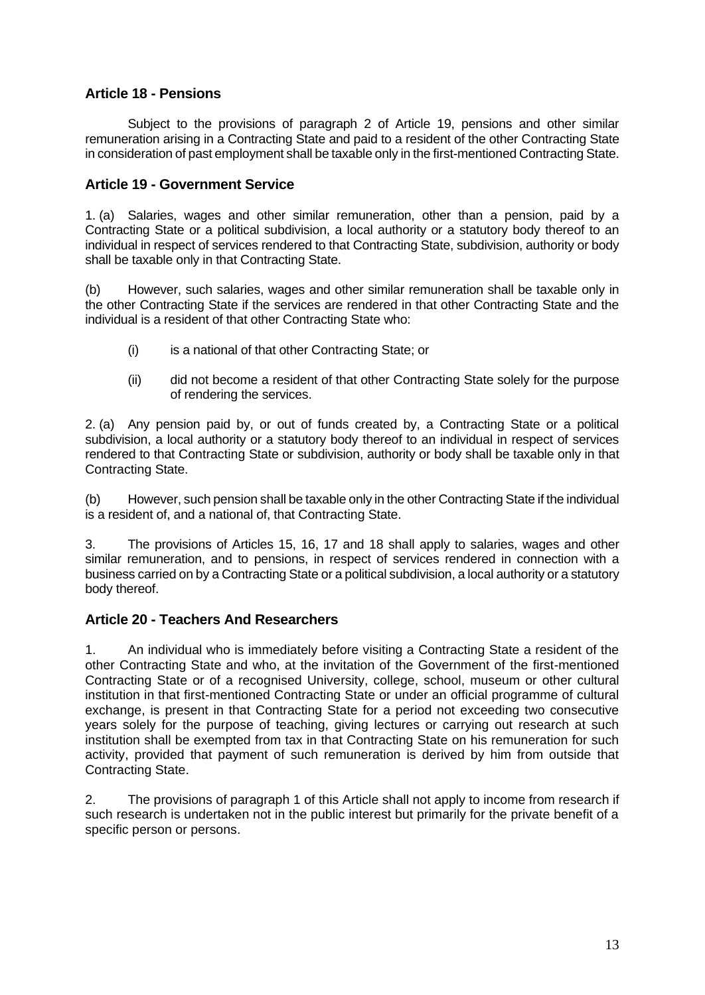## **Article 18 - Pensions**

Subject to the provisions of paragraph 2 of Article 19, pensions and other similar remuneration arising in a Contracting State and paid to a resident of the other Contracting State in consideration of past employment shall be taxable only in the first-mentioned Contracting State.

## **Article 19 - Government Service**

1. (a) Salaries, wages and other similar remuneration, other than a pension, paid by a Contracting State or a political subdivision, a local authority or a statutory body thereof to an individual in respect of services rendered to that Contracting State, subdivision, authority or body shall be taxable only in that Contracting State.

(b) However, such salaries, wages and other similar remuneration shall be taxable only in the other Contracting State if the services are rendered in that other Contracting State and the individual is a resident of that other Contracting State who:

- (i) is a national of that other Contracting State; or
- (ii) did not become a resident of that other Contracting State solely for the purpose of rendering the services.

2. (a) Any pension paid by, or out of funds created by, a Contracting State or a political subdivision, a local authority or a statutory body thereof to an individual in respect of services rendered to that Contracting State or subdivision, authority or body shall be taxable only in that Contracting State.

(b) However, such pension shall be taxable only in the other Contracting State if the individual is a resident of, and a national of, that Contracting State.

3. The provisions of Articles 15, 16, 17 and 18 shall apply to salaries, wages and other similar remuneration, and to pensions, in respect of services rendered in connection with a business carried on by a Contracting State or a political subdivision, a local authority or a statutory body thereof.

## **Article 20 - Teachers And Researchers**

1. An individual who is immediately before visiting a Contracting State a resident of the other Contracting State and who, at the invitation of the Government of the first-mentioned Contracting State or of a recognised University, college, school, museum or other cultural institution in that first-mentioned Contracting State or under an official programme of cultural exchange, is present in that Contracting State for a period not exceeding two consecutive years solely for the purpose of teaching, giving lectures or carrying out research at such institution shall be exempted from tax in that Contracting State on his remuneration for such activity, provided that payment of such remuneration is derived by him from outside that Contracting State.

2. The provisions of paragraph 1 of this Article shall not apply to income from research if such research is undertaken not in the public interest but primarily for the private benefit of a specific person or persons.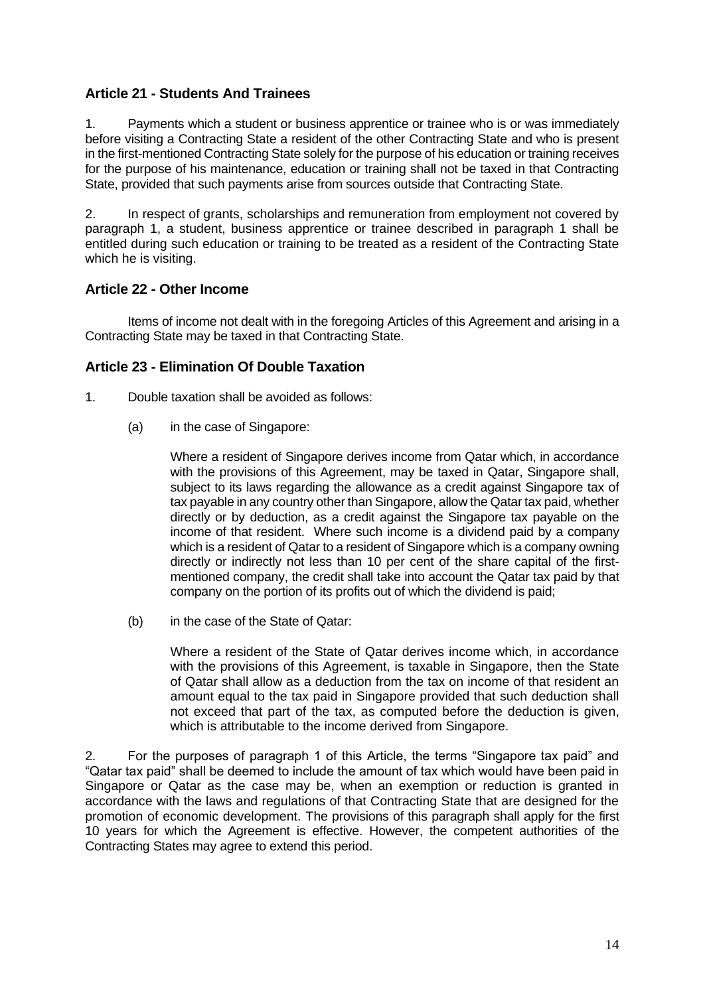## **Article 21 - Students And Trainees**

1. Payments which a student or business apprentice or trainee who is or was immediately before visiting a Contracting State a resident of the other Contracting State and who is present in the first-mentioned Contracting State solely for the purpose of his education or training receives for the purpose of his maintenance, education or training shall not be taxed in that Contracting State, provided that such payments arise from sources outside that Contracting State.

2. In respect of grants, scholarships and remuneration from employment not covered by paragraph 1, a student, business apprentice or trainee described in paragraph 1 shall be entitled during such education or training to be treated as a resident of the Contracting State which he is visiting.

## **Article 22 - Other Income**

Items of income not dealt with in the foregoing Articles of this Agreement and arising in a Contracting State may be taxed in that Contracting State.

## **Article 23 - Elimination Of Double Taxation**

- 1. Double taxation shall be avoided as follows:
	- (a) in the case of Singapore:

Where a resident of Singapore derives income from Qatar which, in accordance with the provisions of this Agreement, may be taxed in Qatar, Singapore shall, subject to its laws regarding the allowance as a credit against Singapore tax of tax payable in any country other than Singapore, allow the Qatar tax paid, whether directly or by deduction, as a credit against the Singapore tax payable on the income of that resident. Where such income is a dividend paid by a company which is a resident of Qatar to a resident of Singapore which is a company owning directly or indirectly not less than 10 per cent of the share capital of the firstmentioned company, the credit shall take into account the Qatar tax paid by that company on the portion of its profits out of which the dividend is paid;

(b) in the case of the State of Qatar:

Where a resident of the State of Qatar derives income which, in accordance with the provisions of this Agreement, is taxable in Singapore, then the State of Qatar shall allow as a deduction from the tax on income of that resident an amount equal to the tax paid in Singapore provided that such deduction shall not exceed that part of the tax, as computed before the deduction is given, which is attributable to the income derived from Singapore.

2. For the purposes of paragraph 1 of this Article, the terms "Singapore tax paid" and "Qatar tax paid" shall be deemed to include the amount of tax which would have been paid in Singapore or Qatar as the case may be, when an exemption or reduction is granted in accordance with the laws and regulations of that Contracting State that are designed for the promotion of economic development. The provisions of this paragraph shall apply for the first 10 years for which the Agreement is effective. However, the competent authorities of the Contracting States may agree to extend this period.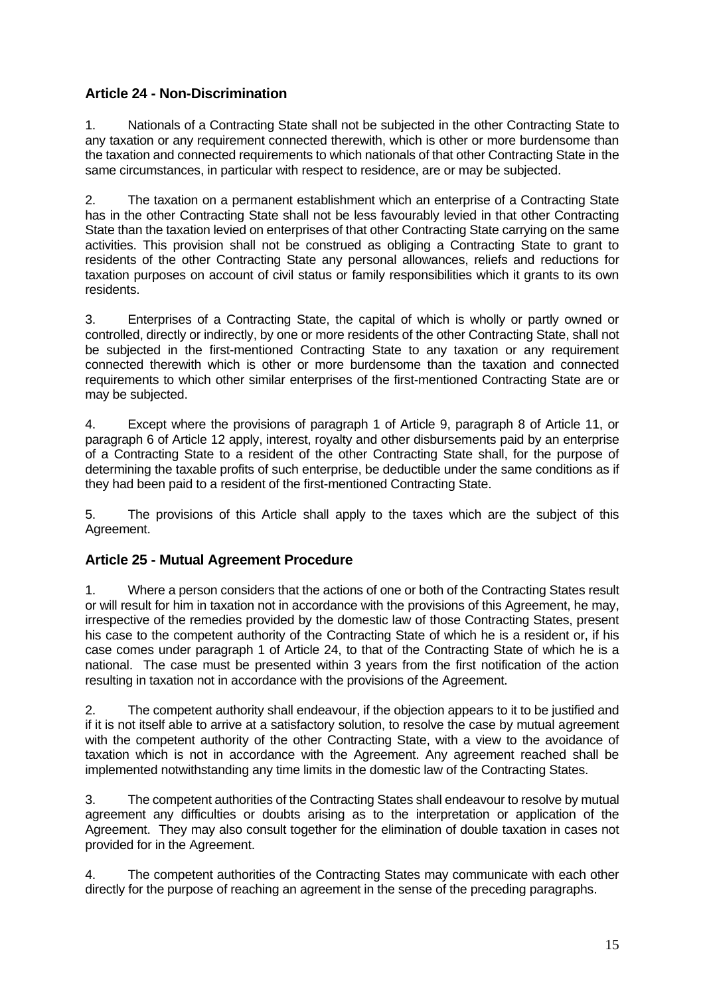# **Article 24 - Non-Discrimination**

1. Nationals of a Contracting State shall not be subjected in the other Contracting State to any taxation or any requirement connected therewith, which is other or more burdensome than the taxation and connected requirements to which nationals of that other Contracting State in the same circumstances, in particular with respect to residence, are or may be subjected.

2. The taxation on a permanent establishment which an enterprise of a Contracting State has in the other Contracting State shall not be less favourably levied in that other Contracting State than the taxation levied on enterprises of that other Contracting State carrying on the same activities. This provision shall not be construed as obliging a Contracting State to grant to residents of the other Contracting State any personal allowances, reliefs and reductions for taxation purposes on account of civil status or family responsibilities which it grants to its own residents.

3. Enterprises of a Contracting State, the capital of which is wholly or partly owned or controlled, directly or indirectly, by one or more residents of the other Contracting State, shall not be subjected in the first-mentioned Contracting State to any taxation or any requirement connected therewith which is other or more burdensome than the taxation and connected requirements to which other similar enterprises of the first-mentioned Contracting State are or may be subjected.

4. Except where the provisions of paragraph 1 of Article 9, paragraph 8 of Article 11, or paragraph 6 of Article 12 apply, interest, royalty and other disbursements paid by an enterprise of a Contracting State to a resident of the other Contracting State shall, for the purpose of determining the taxable profits of such enterprise, be deductible under the same conditions as if they had been paid to a resident of the first-mentioned Contracting State.

5. The provisions of this Article shall apply to the taxes which are the subject of this Agreement.

# **Article 25 - Mutual Agreement Procedure**

1. Where a person considers that the actions of one or both of the Contracting States result or will result for him in taxation not in accordance with the provisions of this Agreement, he may, irrespective of the remedies provided by the domestic law of those Contracting States, present his case to the competent authority of the Contracting State of which he is a resident or, if his case comes under paragraph 1 of Article 24, to that of the Contracting State of which he is a national. The case must be presented within 3 years from the first notification of the action resulting in taxation not in accordance with the provisions of the Agreement.

2. The competent authority shall endeavour, if the objection appears to it to be justified and if it is not itself able to arrive at a satisfactory solution, to resolve the case by mutual agreement with the competent authority of the other Contracting State, with a view to the avoidance of taxation which is not in accordance with the Agreement. Any agreement reached shall be implemented notwithstanding any time limits in the domestic law of the Contracting States.

3. The competent authorities of the Contracting States shall endeavour to resolve by mutual agreement any difficulties or doubts arising as to the interpretation or application of the Agreement. They may also consult together for the elimination of double taxation in cases not provided for in the Agreement.

4. The competent authorities of the Contracting States may communicate with each other directly for the purpose of reaching an agreement in the sense of the preceding paragraphs.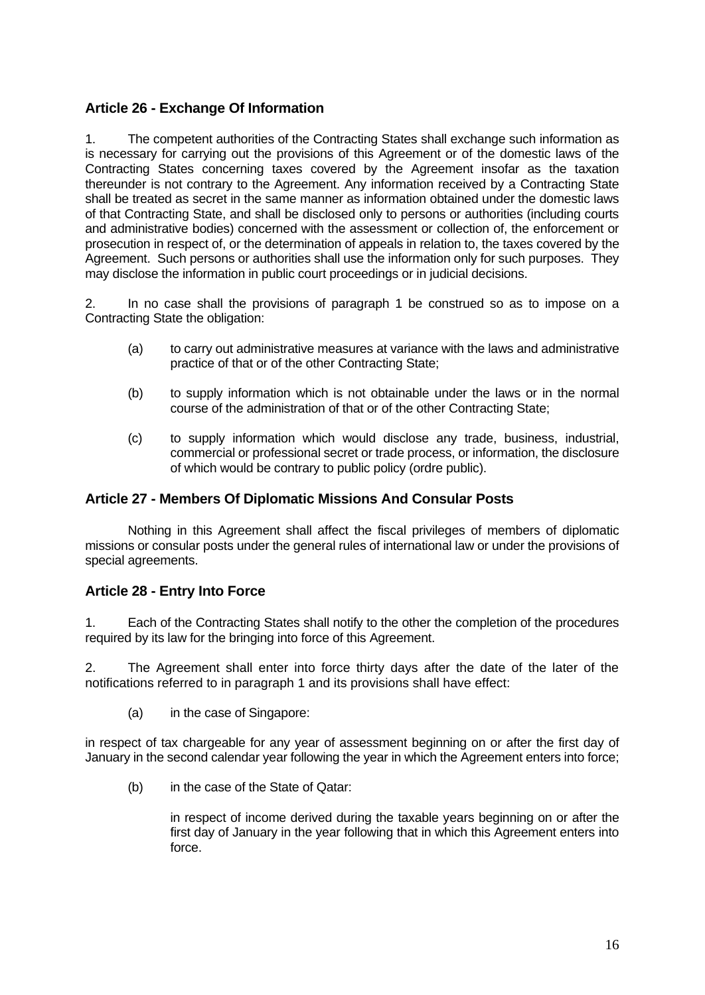# **Article 26 - Exchange Of Information**

1. The competent authorities of the Contracting States shall exchange such information as is necessary for carrying out the provisions of this Agreement or of the domestic laws of the Contracting States concerning taxes covered by the Agreement insofar as the taxation thereunder is not contrary to the Agreement. Any information received by a Contracting State shall be treated as secret in the same manner as information obtained under the domestic laws of that Contracting State, and shall be disclosed only to persons or authorities (including courts and administrative bodies) concerned with the assessment or collection of, the enforcement or prosecution in respect of, or the determination of appeals in relation to, the taxes covered by the Agreement. Such persons or authorities shall use the information only for such purposes. They may disclose the information in public court proceedings or in judicial decisions.

2. In no case shall the provisions of paragraph 1 be construed so as to impose on a Contracting State the obligation:

- (a) to carry out administrative measures at variance with the laws and administrative practice of that or of the other Contracting State;
- (b) to supply information which is not obtainable under the laws or in the normal course of the administration of that or of the other Contracting State;
- (c) to supply information which would disclose any trade, business, industrial, commercial or professional secret or trade process, or information, the disclosure of which would be contrary to public policy (ordre public).

#### **Article 27 - Members Of Diplomatic Missions And Consular Posts**

Nothing in this Agreement shall affect the fiscal privileges of members of diplomatic missions or consular posts under the general rules of international law or under the provisions of special agreements.

## **Article 28 - Entry Into Force**

1. Each of the Contracting States shall notify to the other the completion of the procedures required by its law for the bringing into force of this Agreement.

2. The Agreement shall enter into force thirty days after the date of the later of the notifications referred to in paragraph 1 and its provisions shall have effect:

(a) in the case of Singapore:

in respect of tax chargeable for any year of assessment beginning on or after the first day of January in the second calendar year following the year in which the Agreement enters into force;

(b) in the case of the State of Qatar:

in respect of income derived during the taxable years beginning on or after the first day of January in the year following that in which this Agreement enters into force.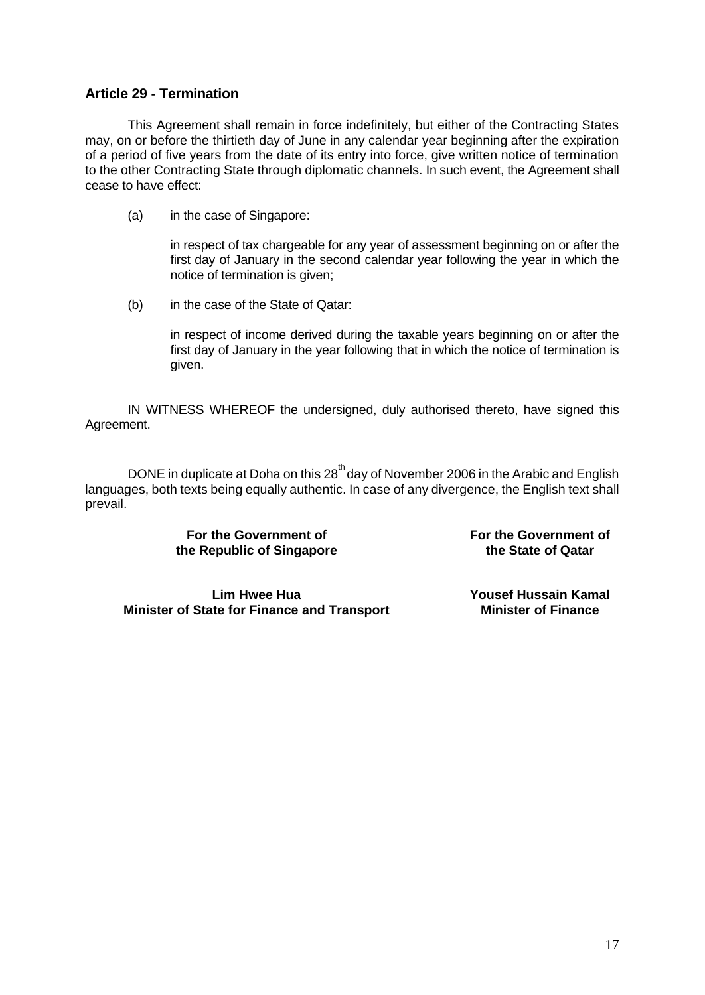## **Article 29 - Termination**

This Agreement shall remain in force indefinitely, but either of the Contracting States may, on or before the thirtieth day of June in any calendar year beginning after the expiration of a period of five years from the date of its entry into force, give written notice of termination to the other Contracting State through diplomatic channels. In such event, the Agreement shall cease to have effect:

(a) in the case of Singapore:

in respect of tax chargeable for any year of assessment beginning on or after the first day of January in the second calendar year following the year in which the notice of termination is given;

(b) in the case of the State of Qatar:

in respect of income derived during the taxable years beginning on or after the first day of January in the year following that in which the notice of termination is given.

IN WITNESS WHEREOF the undersigned, duly authorised thereto, have signed this Agreement.

DONE in duplicate at Doha on this 28<sup>th</sup> day of November 2006 in the Arabic and English languages, both texts being equally authentic. In case of any divergence, the English text shall prevail.

> **For the Government of the Republic of Singapore**

**For the Government of the State of Qatar** 

**Lim Hwee Hua Minister of State for Finance and Transport**  **Yousef Hussain Kamal Minister of Finance**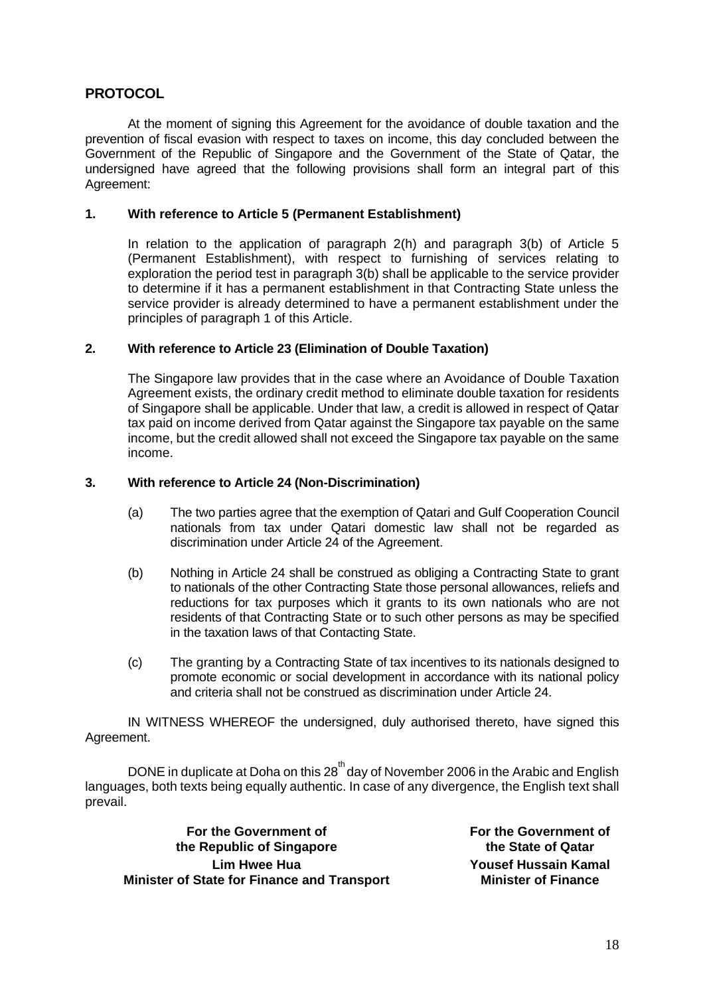#### **PROTOCOL**

At the moment of signing this Agreement for the avoidance of double taxation and the prevention of fiscal evasion with respect to taxes on income, this day concluded between the Government of the Republic of Singapore and the Government of the State of Qatar, the undersigned have agreed that the following provisions shall form an integral part of this Agreement:

#### **1. With reference to Article 5 (Permanent Establishment)**

In relation to the application of paragraph  $2(h)$  and paragraph  $3(b)$  of Article 5 (Permanent Establishment), with respect to furnishing of services relating to exploration the period test in paragraph 3(b) shall be applicable to the service provider to determine if it has a permanent establishment in that Contracting State unless the service provider is already determined to have a permanent establishment under the principles of paragraph 1 of this Article.

#### **2. With reference to Article 23 (Elimination of Double Taxation)**

The Singapore law provides that in the case where an Avoidance of Double Taxation Agreement exists, the ordinary credit method to eliminate double taxation for residents of Singapore shall be applicable. Under that law, a credit is allowed in respect of Qatar tax paid on income derived from Qatar against the Singapore tax payable on the same income, but the credit allowed shall not exceed the Singapore tax payable on the same income.

#### **3. With reference to Article 24 (Non-Discrimination)**

- (a) The two parties agree that the exemption of Qatari and Gulf Cooperation Council nationals from tax under Qatari domestic law shall not be regarded as discrimination under Article 24 of the Agreement.
- (b) Nothing in Article 24 shall be construed as obliging a Contracting State to grant to nationals of the other Contracting State those personal allowances, reliefs and reductions for tax purposes which it grants to its own nationals who are not residents of that Contracting State or to such other persons as may be specified in the taxation laws of that Contacting State.
- (c) The granting by a Contracting State of tax incentives to its nationals designed to promote economic or social development in accordance with its national policy and criteria shall not be construed as discrimination under Article 24.

IN WITNESS WHEREOF the undersigned, duly authorised thereto, have signed this Agreement.

DONE in duplicate at Doha on this 28<sup>th</sup> day of November 2006 in the Arabic and English languages, both texts being equally authentic. In case of any divergence, the English text shall prevail.

**For the Government of the Republic of Singapore Lim Hwee Hua Minister of State for Finance and Transport**  **For the Government of the State of Qatar Yousef Hussain Kamal Minister of Finance**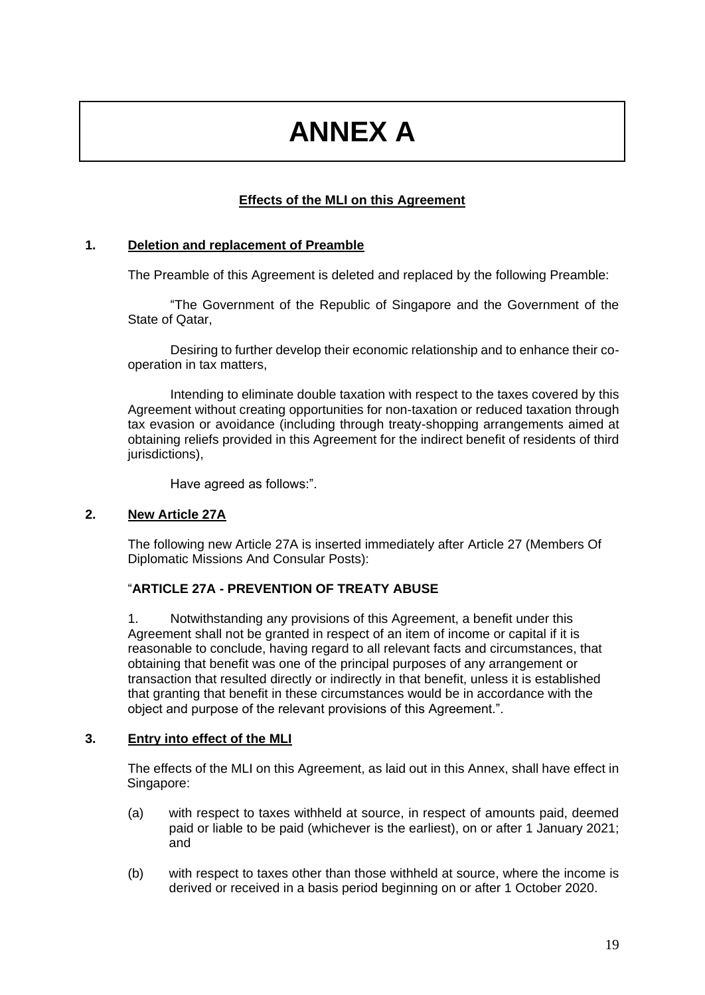# **ANNEX A**

## **Effects of the MLI on this Agreement**

#### **1. Deletion and replacement of Preamble**

The Preamble of this Agreement is deleted and replaced by the following Preamble:

"The Government of the Republic of Singapore and the Government of the State of Qatar,

Desiring to further develop their economic relationship and to enhance their cooperation in tax matters,

Intending to eliminate double taxation with respect to the taxes covered by this Agreement without creating opportunities for non-taxation or reduced taxation through tax evasion or avoidance (including through treaty-shopping arrangements aimed at obtaining reliefs provided in this Agreement for the indirect benefit of residents of third jurisdictions),

Have agreed as follows:".

#### **2. New Article 27A**

The following new Article 27A is inserted immediately after Article 27 (Members Of Diplomatic Missions And Consular Posts):

#### "**ARTICLE 27A - PREVENTION OF TREATY ABUSE**

1. Notwithstanding any provisions of this Agreement, a benefit under this Agreement shall not be granted in respect of an item of income or capital if it is reasonable to conclude, having regard to all relevant facts and circumstances, that obtaining that benefit was one of the principal purposes of any arrangement or transaction that resulted directly or indirectly in that benefit, unless it is established that granting that benefit in these circumstances would be in accordance with the object and purpose of the relevant provisions of this Agreement.".

#### **3. Entry into effect of the MLI**

The effects of the MLI on this Agreement, as laid out in this Annex, shall have effect in Singapore:

- (a) with respect to taxes withheld at source, in respect of amounts paid, deemed paid or liable to be paid (whichever is the earliest), on or after 1 January 2021; and
- (b) with respect to taxes other than those withheld at source, where the income is derived or received in a basis period beginning on or after 1 October 2020.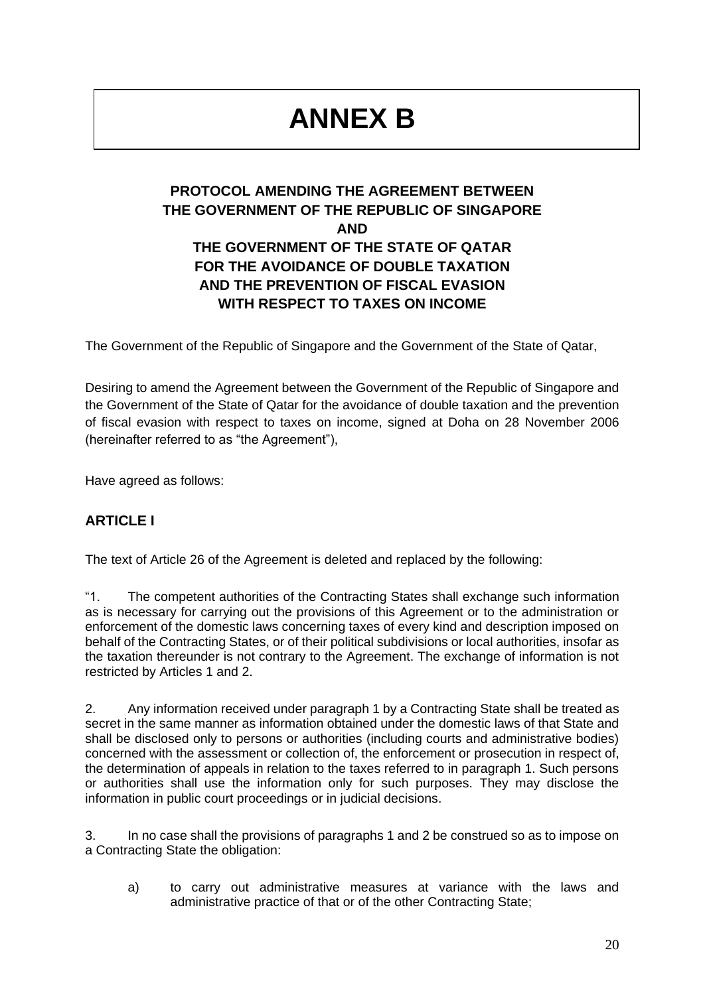# **ANNEX B**

# **PROTOCOL AMENDING THE AGREEMENT BETWEEN THE GOVERNMENT OF THE REPUBLIC OF SINGAPORE AND THE GOVERNMENT OF THE STATE OF QATAR FOR THE AVOIDANCE OF DOUBLE TAXATION AND THE PREVENTION OF FISCAL EVASION WITH RESPECT TO TAXES ON INCOME**

The Government of the Republic of Singapore and the Government of the State of Qatar,

Desiring to amend the Agreement between the Government of the Republic of Singapore and the Government of the State of Qatar for the avoidance of double taxation and the prevention of fiscal evasion with respect to taxes on income, signed at Doha on 28 November 2006 (hereinafter referred to as "the Agreement"),

Have agreed as follows:

# **ARTICLE I**

The text of Article 26 of the Agreement is deleted and replaced by the following:

"1. The competent authorities of the Contracting States shall exchange such information as is necessary for carrying out the provisions of this Agreement or to the administration or enforcement of the domestic laws concerning taxes of every kind and description imposed on behalf of the Contracting States, or of their political subdivisions or local authorities, insofar as the taxation thereunder is not contrary to the Agreement. The exchange of information is not restricted by Articles 1 and 2.

2. Any information received under paragraph 1 by a Contracting State shall be treated as secret in the same manner as information obtained under the domestic laws of that State and shall be disclosed only to persons or authorities (including courts and administrative bodies) concerned with the assessment or collection of, the enforcement or prosecution in respect of, the determination of appeals in relation to the taxes referred to in paragraph 1. Such persons or authorities shall use the information only for such purposes. They may disclose the information in public court proceedings or in judicial decisions.

3. In no case shall the provisions of paragraphs 1 and 2 be construed so as to impose on a Contracting State the obligation:

a) to carry out administrative measures at variance with the laws and administrative practice of that or of the other Contracting State;